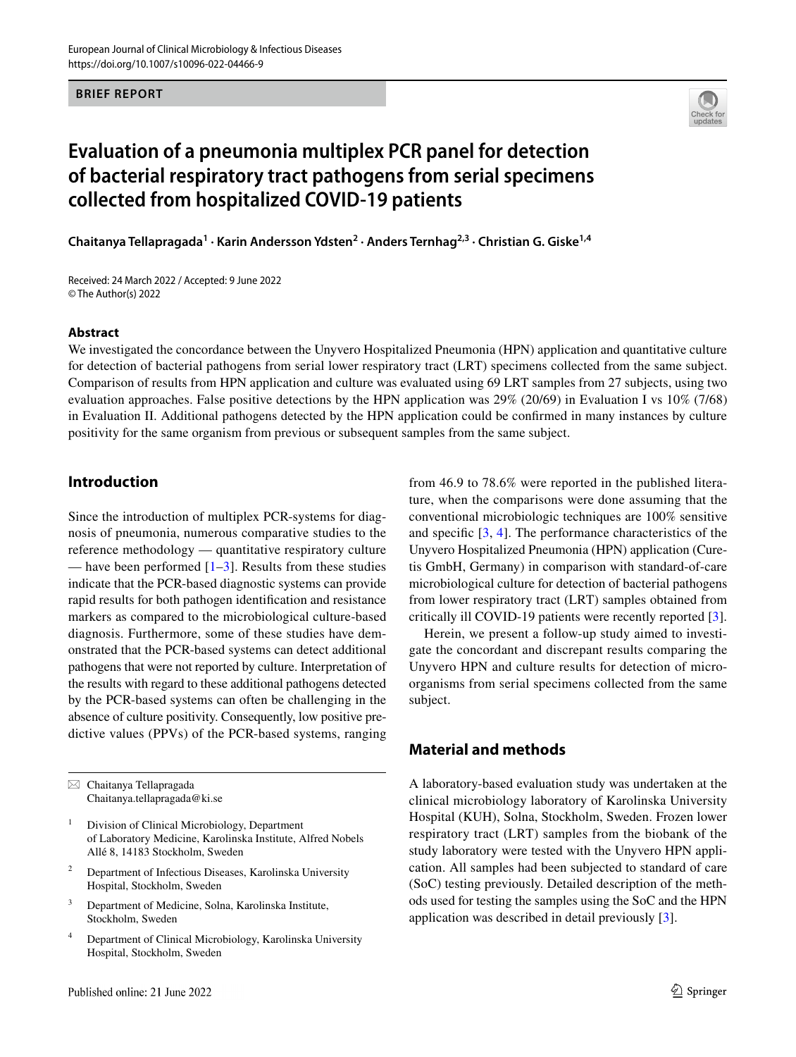**BRIEF REPORT**

# **Evaluation of a pneumonia multiplex PCR panel for detection of bacterial respiratory tract pathogens from serial specimens collected from hospitalized COVID‑19 patients**

**Chaitanya Tellapragada<sup>1</sup> · Karin Andersson Ydsten2 · Anders Ternhag2,3 · Christian G. Giske1,4**

Received: 24 March 2022 / Accepted: 9 June 2022 © The Author(s) 2022

#### **Abstract**

We investigated the concordance between the Unyvero Hospitalized Pneumonia (HPN) application and quantitative culture for detection of bacterial pathogens from serial lower respiratory tract (LRT) specimens collected from the same subject. Comparison of results from HPN application and culture was evaluated using 69 LRT samples from 27 subjects, using two evaluation approaches. False positive detections by the HPN application was 29% (20/69) in Evaluation I vs 10% (7/68) in Evaluation II. Additional pathogens detected by the HPN application could be confrmed in many instances by culture positivity for the same organism from previous or subsequent samples from the same subject.

# **Introduction**

Since the introduction of multiplex PCR-systems for diagnosis of pneumonia, numerous comparative studies to the reference methodology — quantitative respiratory culture — have been performed  $[1-3]$  $[1-3]$  $[1-3]$ . Results from these studies indicate that the PCR-based diagnostic systems can provide rapid results for both pathogen identifcation and resistance markers as compared to the microbiological culture-based diagnosis. Furthermore, some of these studies have demonstrated that the PCR-based systems can detect additional pathogens that were not reported by culture. Interpretation of the results with regard to these additional pathogens detected by the PCR-based systems can often be challenging in the absence of culture positivity. Consequently, low positive predictive values (PPVs) of the PCR-based systems, ranging

 $\boxtimes$  Chaitanya Tellapragada Chaitanya.tellapragada@ki.se

- <sup>1</sup> Division of Clinical Microbiology, Department of Laboratory Medicine, Karolinska Institute, Alfred Nobels Allé 8, 14183 Stockholm, Sweden
- <sup>2</sup> Department of Infectious Diseases, Karolinska University Hospital, Stockholm, Sweden
- <sup>3</sup> Department of Medicine, Solna, Karolinska Institute, Stockholm, Sweden
- <sup>4</sup> Department of Clinical Microbiology, Karolinska University Hospital, Stockholm, Sweden

from 46.9 to 78.6% were reported in the published literature, when the comparisons were done assuming that the conventional microbiologic techniques are 100% sensitive and specifc [\[3](#page-5-1), [4\]](#page-5-2). The performance characteristics of the Unyvero Hospitalized Pneumonia (HPN) application (Curetis GmbH, Germany) in comparison with standard-of-care microbiological culture for detection of bacterial pathogens from lower respiratory tract (LRT) samples obtained from critically ill COVID-19 patients were recently reported [\[3](#page-5-1)].

Herein, we present a follow-up study aimed to investigate the concordant and discrepant results comparing the Unyvero HPN and culture results for detection of microorganisms from serial specimens collected from the same subject.

## **Material and methods**

A laboratory-based evaluation study was undertaken at the clinical microbiology laboratory of Karolinska University Hospital (KUH), Solna, Stockholm, Sweden. Frozen lower respiratory tract (LRT) samples from the biobank of the study laboratory were tested with the Unyvero HPN application. All samples had been subjected to standard of care (SoC) testing previously. Detailed description of the methods used for testing the samples using the SoC and the HPN application was described in detail previously [\[3](#page-5-1)].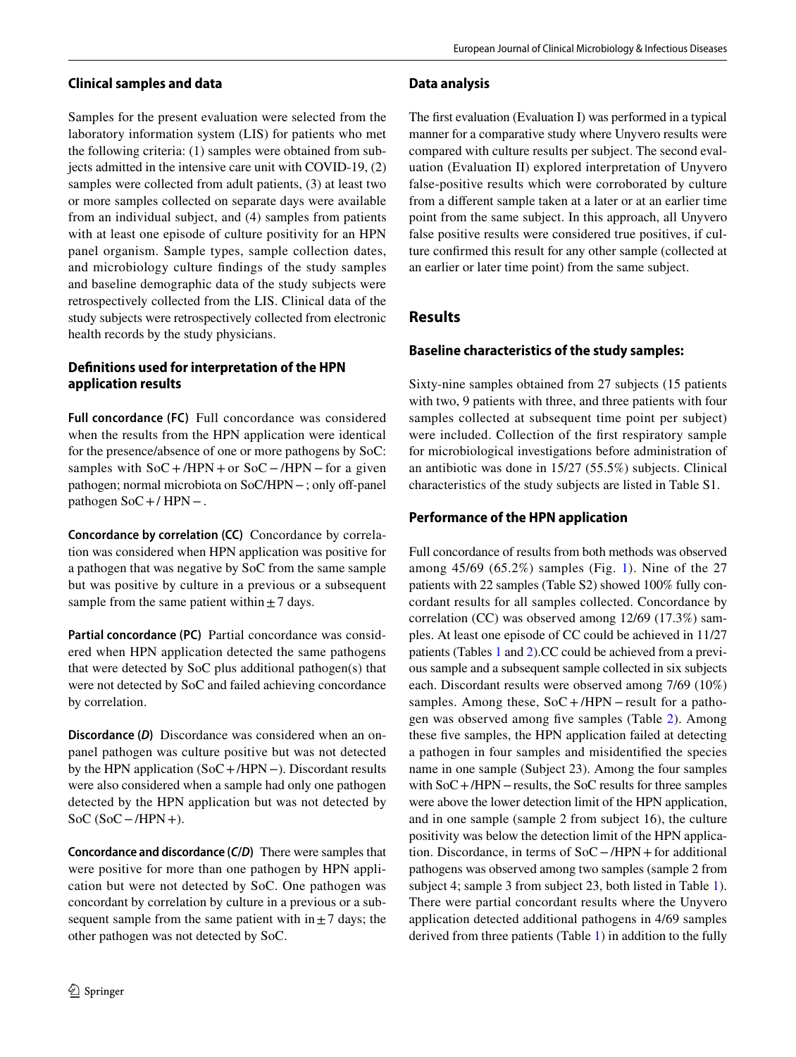### **Clinical samples and data**

Samples for the present evaluation were selected from the laboratory information system (LIS) for patients who met the following criteria: (1) samples were obtained from subjects admitted in the intensive care unit with COVID-19, (2) samples were collected from adult patients, (3) at least two or more samples collected on separate days were available from an individual subject, and (4) samples from patients with at least one episode of culture positivity for an HPN panel organism. Sample types, sample collection dates, and microbiology culture fndings of the study samples and baseline demographic data of the study subjects were retrospectively collected from the LIS. Clinical data of the study subjects were retrospectively collected from electronic health records by the study physicians.

# **Defnitions used for interpretation of the HPN application results**

**Full concordance (FC)** Full concordance was considered when the results from the HPN application were identical for the presence/absence of one or more pathogens by SoC: samples with  $SoC+/HPN+$  or  $SoC-/HPN$  – for a given pathogen; normal microbiota on SoC/HPN – ; only off-panel pathogen SoC+/ HPN−.

**Concordance by correlation (CC)** Concordance by correlation was considered when HPN application was positive for a pathogen that was negative by SoC from the same sample but was positive by culture in a previous or a subsequent sample from the same patient within  $\pm$  7 days.

**Partial concordance (PC)** Partial concordance was considered when HPN application detected the same pathogens that were detected by SoC plus additional pathogen(s) that were not detected by SoC and failed achieving concordance by correlation.

**Discordance (***D***)** Discordance was considered when an onpanel pathogen was culture positive but was not detected by the HPN application (SoC+/HPN−). Discordant results were also considered when a sample had only one pathogen detected by the HPN application but was not detected by SoC (SoC−/HPN+).

**Concordance and discordance (***C***/***D***)** There were samples that were positive for more than one pathogen by HPN application but were not detected by SoC. One pathogen was concordant by correlation by culture in a previous or a subsequent sample from the same patient with in $\pm$  7 days; the other pathogen was not detected by SoC.

#### **Data analysis**

The frst evaluation (Evaluation I) was performed in a typical manner for a comparative study where Unyvero results were compared with culture results per subject. The second evaluation (Evaluation II) explored interpretation of Unyvero false-positive results which were corroborated by culture from a diferent sample taken at a later or at an earlier time point from the same subject. In this approach, all Unyvero false positive results were considered true positives, if culture confrmed this result for any other sample (collected at an earlier or later time point) from the same subject.

# **Results**

# **Baseline characteristics of the study samples:**

Sixty-nine samples obtained from 27 subjects (15 patients with two, 9 patients with three, and three patients with four samples collected at subsequent time point per subject) were included. Collection of the frst respiratory sample for microbiological investigations before administration of an antibiotic was done in 15/27 (55.5%) subjects. Clinical characteristics of the study subjects are listed in Table S1.

# **Performance of the HPN application**

Full concordance of results from both methods was observed among 45/69 (65.2%) samples (Fig. [1](#page-2-0)). Nine of the 27 patients with 22 samples (Table S2) showed 100% fully concordant results for all samples collected. Concordance by correlation (CC) was observed among 12/69 (17.3%) samples. At least one episode of CC could be achieved in 11/27 patients (Tables [1](#page-3-0) and [2](#page-4-0)).CC could be achieved from a previous sample and a subsequent sample collected in six subjects each. Discordant results were observed among 7/69 (10%) samples. Among these,  $SoC+/HPN$  – result for a pathogen was observed among fve samples (Table [2](#page-4-0)). Among these fve samples, the HPN application failed at detecting a pathogen in four samples and misidentifed the species name in one sample (Subject 23). Among the four samples with SoC+/HPN−results, the SoC results for three samples were above the lower detection limit of the HPN application, and in one sample (sample 2 from subject 16), the culture positivity was below the detection limit of the HPN application. Discordance, in terms of SoC−/HPN+for additional pathogens was observed among two samples (sample 2 from subject 4; sample 3 from subject 23, both listed in Table [1](#page-3-0)). There were partial concordant results where the Unyvero application detected additional pathogens in 4/69 samples derived from three patients (Table [1\)](#page-3-0) in addition to the fully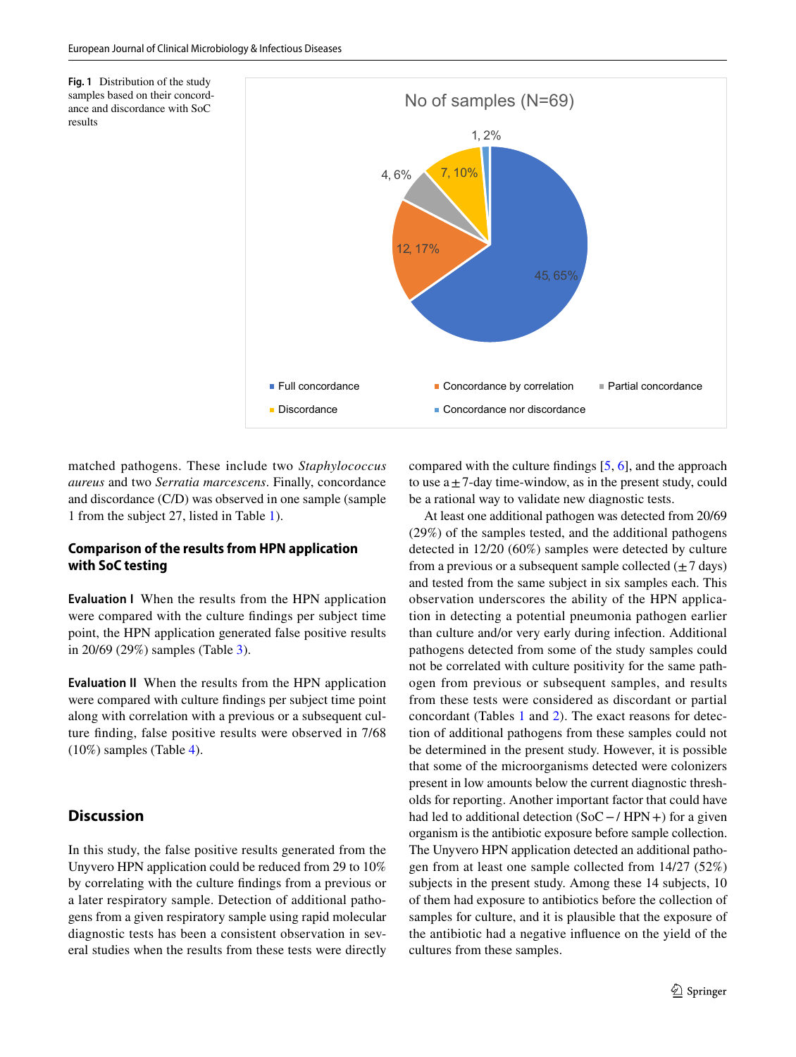<span id="page-2-0"></span>**Fig. 1** Distribution of the study samples based on their concordance and discordance with SoC results



matched pathogens. These include two *Staphylococcus aureus* and two *Serratia marcescens*. Finally, concordance and discordance (C/D) was observed in one sample (sample 1 from the subject 27, listed in Table [1](#page-3-0)).

#### **Comparison of the results from HPN application with SoC testing**

**Evaluation I** When the results from the HPN application were compared with the culture fndings per subject time point, the HPN application generated false positive results in 20/69 (29%) samples (Table [3](#page-4-1)).

**Evaluation II** When the results from the HPN application were compared with culture fndings per subject time point along with correlation with a previous or a subsequent culture fnding, false positive results were observed in 7/68 (10%) samples (Table [4](#page-4-2)).

#### **Discussion**

In this study, the false positive results generated from the Unyvero HPN application could be reduced from 29 to 10% by correlating with the culture fndings from a previous or a later respiratory sample. Detection of additional pathogens from a given respiratory sample using rapid molecular diagnostic tests has been a consistent observation in several studies when the results from these tests were directly compared with the culture fndings [\[5](#page-5-3), [6](#page-5-4)], and the approach to use  $a \pm 7$ -day time-window, as in the present study, could be a rational way to validate new diagnostic tests.

At least one additional pathogen was detected from 20/69 (29%) of the samples tested, and the additional pathogens detected in 12/20 (60%) samples were detected by culture from a previous or a subsequent sample collected  $(\pm 7 \text{ days})$ and tested from the same subject in six samples each. This observation underscores the ability of the HPN application in detecting a potential pneumonia pathogen earlier than culture and/or very early during infection. Additional pathogens detected from some of the study samples could not be correlated with culture positivity for the same pathogen from previous or subsequent samples, and results from these tests were considered as discordant or partial concordant (Tables [1](#page-3-0) and [2\)](#page-4-0). The exact reasons for detection of additional pathogens from these samples could not be determined in the present study. However, it is possible that some of the microorganisms detected were colonizers present in low amounts below the current diagnostic thresholds for reporting. Another important factor that could have had led to additional detection (SoC −/ HPN +) for a given organism is the antibiotic exposure before sample collection. The Unyvero HPN application detected an additional pathogen from at least one sample collected from 14/27 (52%) subjects in the present study. Among these 14 subjects, 10 of them had exposure to antibiotics before the collection of samples for culture, and it is plausible that the exposure of the antibiotic had a negative infuence on the yield of the cultures from these samples.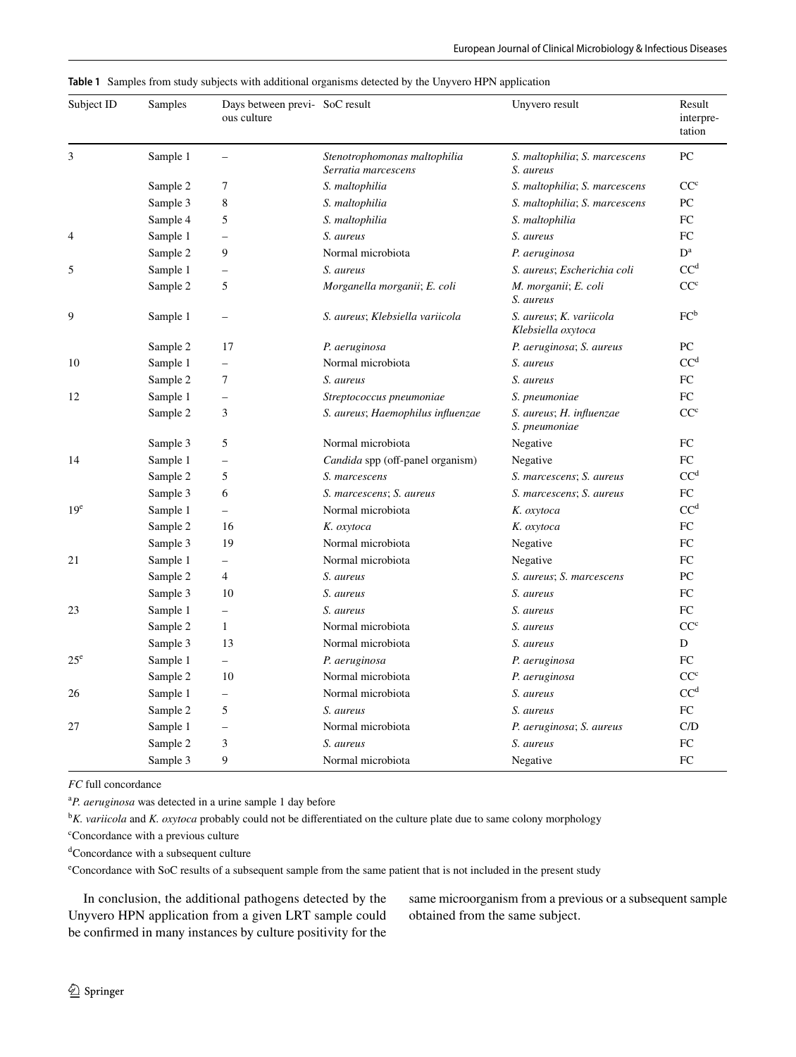<span id="page-3-0"></span>

|  |  |  |  |  |  |  | Table 1 Samples from study subjects with additional organisms detected by the Unyvero HPN application |
|--|--|--|--|--|--|--|-------------------------------------------------------------------------------------------------------|
|--|--|--|--|--|--|--|-------------------------------------------------------------------------------------------------------|

| Subject ID      | Samples  | Days between previ- SoC result<br>ous culture |                                                     | Unyvero result                                | Result<br>interpre-<br>tation |
|-----------------|----------|-----------------------------------------------|-----------------------------------------------------|-----------------------------------------------|-------------------------------|
| 3               | Sample 1 | $\overline{\phantom{0}}$                      | Stenotrophomonas maltophilia<br>Serratia marcescens | S. maltophilia; S. marcescens<br>S. aureus    | PC                            |
|                 | Sample 2 | 7                                             | S. maltophilia                                      | S. maltophilia; S. marcescens                 | $CC^c$                        |
|                 | Sample 3 | 8                                             | S. maltophilia                                      | S. maltophilia; S. marcescens                 | PC                            |
|                 | Sample 4 | 5                                             | S. maltophilia                                      | S. maltophilia                                | FC                            |
| 4               | Sample 1 | $\overline{\phantom{0}}$                      | S. aureus                                           | S. aureus                                     | FC                            |
|                 | Sample 2 | 9                                             | Normal microbiota                                   | P. aeruginosa                                 | $D^a$                         |
| 5               | Sample 1 | $\qquad \qquad -$                             | S. aureus                                           | S. aureus; Escherichia coli                   | CC <sup>d</sup>               |
|                 | Sample 2 | 5                                             | Morganella morganii; E. coli                        | M. morganii; E. coli<br>S. aureus             | CC <sup>c</sup>               |
| 9               | Sample 1 | $\qquad \qquad -$                             | S. aureus; Klebsiella variicola                     | S. aureus; K. variicola<br>Klebsiella oxytoca | $FC^b$                        |
|                 | Sample 2 | 17                                            | P. aeruginosa                                       | P. aeruginosa; S. aureus                      | PC                            |
| 10              | Sample 1 | $\overline{\phantom{0}}$                      | Normal microbiota                                   | S. aureus                                     | CC <sup>d</sup>               |
|                 | Sample 2 | 7                                             | S. aureus                                           | S. aureus                                     | FC                            |
| 12              | Sample 1 | $\qquad \qquad -$                             | Streptococcus pneumoniae                            | S. pneumoniae                                 | FC                            |
|                 | Sample 2 | 3                                             | S. aureus; Haemophilus influenzae                   | S. aureus; H. influenzae<br>S. pneumoniae     | CC <sup>c</sup>               |
|                 | Sample 3 | 5                                             | Normal microbiota                                   | Negative                                      | FC                            |
| 14              | Sample 1 | $\qquad \qquad -$                             | Candida spp (off-panel organism)                    | Negative                                      | FC                            |
|                 | Sample 2 | 5                                             | S. marcescens                                       | S. marcescens; S. aureus                      | $CC^d$                        |
|                 | Sample 3 | 6                                             | S. marcescens; S. aureus                            | S. marcescens; S. aureus                      | FC                            |
| 19 <sup>e</sup> | Sample 1 | $\equiv$                                      | Normal microbiota                                   | K. oxytoca                                    | CC <sup>d</sup>               |
|                 | Sample 2 | 16                                            | K. oxytoca                                          | K. oxytoca                                    | FC                            |
|                 | Sample 3 | 19                                            | Normal microbiota                                   | Negative                                      | FC                            |
| 21              | Sample 1 | $\equiv$                                      | Normal microbiota                                   | Negative                                      | FC                            |
|                 | Sample 2 | $\overline{4}$                                | S. aureus                                           | S. aureus; S. marcescens                      | PC                            |
|                 | Sample 3 | 10                                            | S. aureus                                           | S. aureus                                     | FC                            |
| 23              | Sample 1 | $\overline{\phantom{0}}$                      | S. aureus                                           | S. aureus                                     | FC                            |
|                 | Sample 2 | $\mathbf{1}$                                  | Normal microbiota                                   | S. aureus                                     | CC <sup>c</sup>               |
|                 | Sample 3 | 13                                            | Normal microbiota                                   | S. aureus                                     | D                             |
| $25^{\circ}$    | Sample 1 | $\equiv$                                      | P. aeruginosa                                       | P. aeruginosa                                 | FC                            |
|                 | Sample 2 | 10                                            | Normal microbiota                                   | P. aeruginosa                                 | CC <sup>c</sup>               |
| 26              | Sample 1 | $\overline{\phantom{m}}$                      | Normal microbiota                                   | S. aureus                                     | CC <sup>d</sup>               |
|                 | Sample 2 | 5                                             | S. aureus                                           | S. aureus                                     | FC                            |
| 27              | Sample 1 | $\overline{\phantom{0}}$                      | Normal microbiota                                   | P. aeruginosa; S. aureus                      | C/D                           |
|                 | Sample 2 | 3                                             | S. aureus                                           | S. aureus                                     | FC                            |
|                 | Sample 3 | 9                                             | Normal microbiota                                   | Negative                                      | FC                            |

*FC* full concordance

a *P. aeruginosa* was detected in a urine sample 1 day before

b *K. variicola* and *K. oxytoca* probably could not be diferentiated on the culture plate due to same colony morphology

c Concordance with a previous culture

d Concordance with a subsequent culture

e Concordance with SoC results of a subsequent sample from the same patient that is not included in the present study

In conclusion, the additional pathogens detected by the Unyvero HPN application from a given LRT sample could be confrmed in many instances by culture positivity for the same microorganism from a previous or a subsequent sample obtained from the same subject.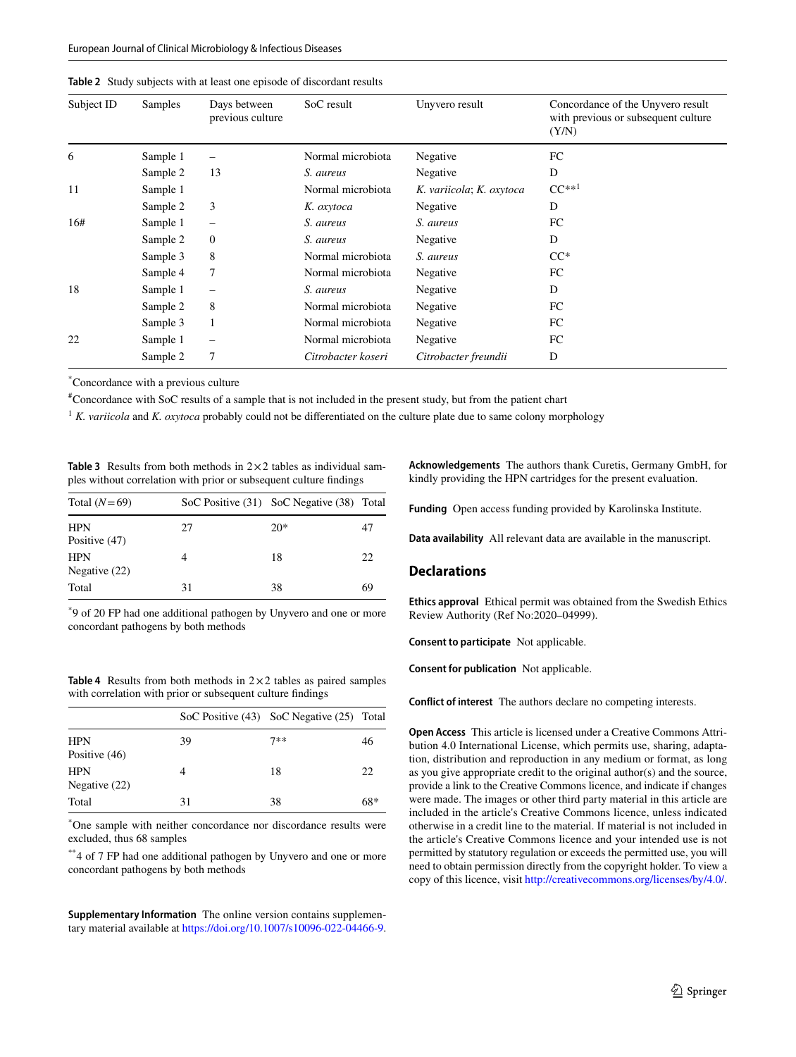<span id="page-4-0"></span>

|  |  |  |  |  |  |  |  | <b>Table 2</b> Study subjects with at least one episode of discordant results |  |
|--|--|--|--|--|--|--|--|-------------------------------------------------------------------------------|--|
|--|--|--|--|--|--|--|--|-------------------------------------------------------------------------------|--|

| Subject ID | <b>Samples</b> | Days between<br>previous culture | SoC result         | Unyvero result           | Concordance of the Unyvero result<br>with previous or subsequent culture<br>(Y/N) |
|------------|----------------|----------------------------------|--------------------|--------------------------|-----------------------------------------------------------------------------------|
| 6          | Sample 1       | $\overline{\phantom{0}}$         | Normal microbiota  | Negative                 | FC                                                                                |
|            | Sample 2       | 13                               | S. aureus          | Negative                 | D                                                                                 |
| 11         | Sample 1       |                                  | Normal microbiota  | K. variicola; K. oxytoca | $CC^{**1}$                                                                        |
|            | Sample 2       | 3                                | K. oxytoca         | Negative                 | D                                                                                 |
| 16#        | Sample 1       | $\overline{\phantom{0}}$         | S. aureus          | S. aureus                | FC                                                                                |
|            | Sample 2       | $\boldsymbol{0}$                 | S. aureus          | Negative                 | D                                                                                 |
|            | Sample 3       | 8                                | Normal microbiota  | S. aureus                | $CC^*$                                                                            |
|            | Sample 4       | 7                                | Normal microbiota  | Negative                 | FC                                                                                |
| 18         | Sample 1       | $\overline{\phantom{0}}$         | S. aureus          | Negative                 | D                                                                                 |
|            | Sample 2       | 8                                | Normal microbiota  | Negative                 | FC                                                                                |
|            | Sample 3       | 1                                | Normal microbiota  | Negative                 | FC                                                                                |
| 22         | Sample 1       | -                                | Normal microbiota  | Negative                 | FC                                                                                |
|            | Sample 2       | 7                                | Citrobacter koseri | Citrobacter freundii     | D                                                                                 |

\* Concordance with a previous culture

# Concordance with SoC results of a sample that is not included in the present study, but from the patient chart

<sup>1</sup> K. variicola and K. oxytoca probably could not be differentiated on the culture plate due to same colony morphology

<span id="page-4-1"></span>

| <b>Table 3</b> Results from both methods in $2 \times 2$ tables as individual sam- |  |  |
|------------------------------------------------------------------------------------|--|--|
| ples without correlation with prior or subsequent culture findings                 |  |  |

| Total $(N=69)$                |    | SoC Positive (31) SoC Negative (38) Total |    |
|-------------------------------|----|-------------------------------------------|----|
| <b>HPN</b><br>Positive (47)   | 27 | $20*$                                     | 47 |
| <b>HPN</b><br>Negative $(22)$ |    | 18                                        | 22 |
| Total                         | 31 | 38                                        | 69 |

\* 9 of 20 FP had one additional pathogen by Unyvero and one or more concordant pathogens by both methods

<span id="page-4-2"></span>**Table 4** Results from both methods in 2×2 tables as paired samples with correlation with prior or subsequent culture fndings

|                               |    | SoC Positive (43) SoC Negative (25) Total |     |
|-------------------------------|----|-------------------------------------------|-----|
| <b>HPN</b><br>Positive $(46)$ | 39 | $7**$                                     | 46  |
| <b>HPN</b><br>Negative $(22)$ |    | 18                                        | 22  |
| Total                         | 31 | 38                                        | 68* |

\* One sample with neither concordance nor discordance results were excluded, thus 68 samples

\*\*4 of 7 FP had one additional pathogen by Unyvero and one or more concordant pathogens by both methods

**Supplementary Information** The online version contains supplementary material available at<https://doi.org/10.1007/s10096-022-04466-9>. **Acknowledgements** The authors thank Curetis, Germany GmbH, for kindly providing the HPN cartridges for the present evaluation.

**Funding** Open access funding provided by Karolinska Institute.

**Data availability** All relevant data are available in the manuscript.

#### **Declarations**

**Ethics approval** Ethical permit was obtained from the Swedish Ethics Review Authority (Ref No:2020–04999).

**Consent to participate** Not applicable.

**Consent for publication** Not applicable.

**Conflict of interest** The authors declare no competing interests.

**Open Access** This article is licensed under a Creative Commons Attribution 4.0 International License, which permits use, sharing, adaptation, distribution and reproduction in any medium or format, as long as you give appropriate credit to the original author(s) and the source, provide a link to the Creative Commons licence, and indicate if changes were made. The images or other third party material in this article are included in the article's Creative Commons licence, unless indicated otherwise in a credit line to the material. If material is not included in the article's Creative Commons licence and your intended use is not permitted by statutory regulation or exceeds the permitted use, you will need to obtain permission directly from the copyright holder. To view a copy of this licence, visit<http://creativecommons.org/licenses/by/4.0/>.